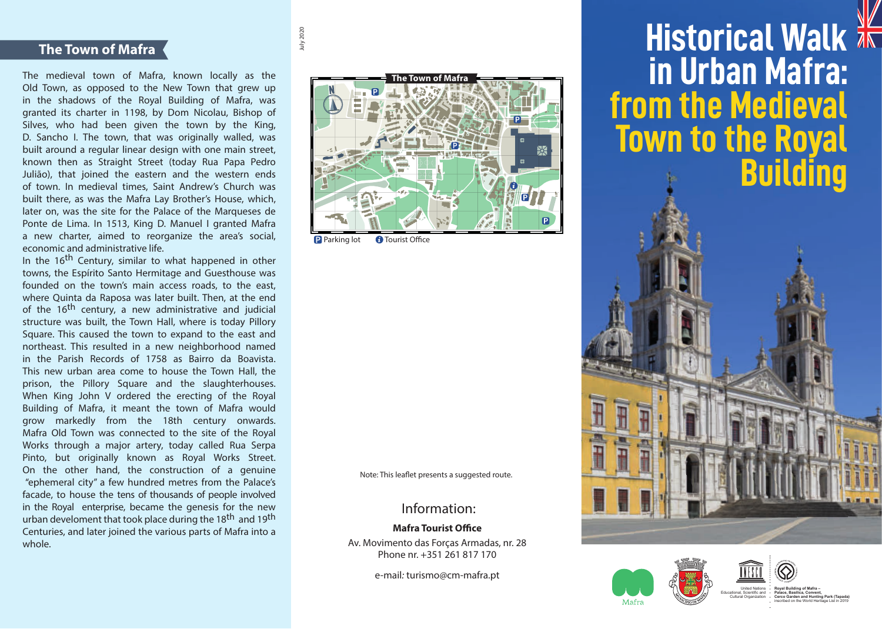# **The Town of Mafra**

The medieval town of Mafra, known locally as the Old Town, as opposed to the New Town that grew up in the shadows of the Royal Building of Mafra, was granted its charter in 1198, by Dom Nicolau, Bishop of Silves, who had been given the town by the King, D. Sancho I. The town, that was originally walled, was built around a regular linear design with one main street, known then as Straight Street (today Rua Papa Pedro Julião), that joined the eastern and the western ends of town. In medieval times, Saint Andrew's Church was built there, as was the Mafra Lay Brother's House, which, later on, was the site for the Palace of the Marqueses de Ponte de Lima. In 1513, King D. Manuel I granted Mafra a new charter, aimed to reorganize the area's social, economic and administrative life.

In the 16<sup>th</sup> Century, similar to what happened in other towns, the Espírito Santo Hermitage and Guesthouse was founded on the town's main access roads, to the east, where Quinta da Raposa was later built. Then, at the end of the 16<sup>th</sup> century, a new administrative and judicial structure was built, the Town Hall, where is today Pillory Square. This caused the town to expand to the east and northeast. This resulted in a new neighborhood named in the Parish Records of 1758 as Bairro da Boavista. This new urban area come to house the Town Hall, the prison, the Pillory Square and the slaughterhouses. When King John V ordered the erecting of the Royal Building of Mafra, it meant the town of Mafra would grow markedly from the 18th century onwards. Mafra Old Town was connected to the site of the Royal Works through a major artery, today called Rua Serpa Pinto, but originally known as Royal Works Street. On the other hand, the construction of a genuine "ephemeral city" a few hundred metres from the Palace's facade, to house the tens of thousands of people involved in the Royal enterprise, became the genesis for the new urban develoment that took place during the 18<sup>th</sup> and 19<sup>th</sup> Centuries, and later joined the various parts of Mafra into a whole.



**P** Parking lot **O** Tourist Office

July 2020

Note: This leaflet presents a suggested route.

# Information:

### **Mafra Tourist Office**

Av. Movimento das Forças Armadas, nr. 28 Phone nr. +351 261 817 170

e-mail: turismo@cm-mafra.pt

**Historical Walk XK in Urban Mafra: from the Medieval Town to the Royal Building**







**<sup>P</sup>ATR<sup>I</sup>MONI<sup>O</sup> <sup>M</sup>UND<sup>I</sup>A<sup>L</sup>**